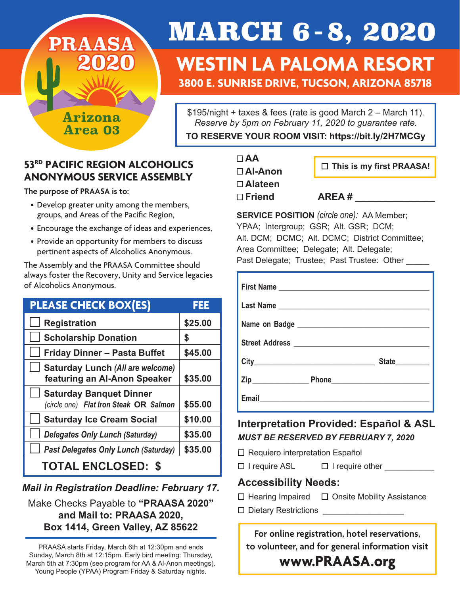**Arizona Area 03**

**PRAASA**

**2020**

# MARCH 6 - 8, 2020

### **WESTIN LA PALOMA RESORT 3800 E. SUNRISE DRIVE, TUCSON, ARIZONA 85718**

\$195/night + taxes & fees (rate is good March 2 – March 11). *Reserve by 5pm on February 11, 2020 to guarantee rate.* 

**TO RESERVE YOUR ROOM VISIT: https://bit.ly/2H7MCGy**

### **53RD PACIFIC REGION ALCOHOLICS ANONYMOUS SERVICE ASSEMBLY**

**The purpose of PRAASA is to:**

- Develop greater unity among the members, groups, and Areas of the Pacific Region,
- Encourage the exchange of ideas and experiences,
- Provide an opportunity for members to discuss pertinent aspects of Alcoholics Anonymous.

The Assembly and the PRAASA Committee should always foster the Recovery, Unity and Service legacies of Alcoholics Anonymous.

| <b>PLEASE CHECK BOX(ES)</b>                                              | FEE     |
|--------------------------------------------------------------------------|---------|
| <b>Registration</b>                                                      | \$25.00 |
| <b>Scholarship Donation</b>                                              | \$      |
| <b>Friday Dinner - Pasta Buffet</b>                                      | \$45.00 |
| <b>Saturday Lunch (All are welcome)</b><br>featuring an Al-Anon Speaker  | \$35.00 |
| <b>Saturday Banquet Dinner</b><br>(circle one) Flat Iron Steak OR Salmon | \$55.00 |
| <b>Saturday Ice Cream Social</b>                                         | \$10.00 |
| <b>Delegates Only Lunch (Saturday)</b>                                   | \$35.00 |
| <b>Past Delegates Only Lunch (Saturday)</b>                              | \$35.00 |
| <b>TOTAL ENCLOSED: \$</b>                                                |         |

### *Mail in Registration Deadline: February 17.*

### Make Checks Payable to **"PRAASA 2020" and Mail to: PRAASA 2020, Box 1414, Green Valley, AZ 85622**

PRAASA starts Friday, March 6th at 12:30pm and ends Sunday, March 8th at 12:15pm. Early bird meeting: Thursday, March 5th at 7:30pm (see program for AA & Al-Anon meetings). Young People (YPAA) Program Friday & Saturday nights.

**AA Al-Anon Alateen**  □ Friend AREA #

 **This is my first PRAASA!**

**SERVICE POSITION** *(circle one):* AA Member; YPAA; Intergroup; GSR; Alt. GSR; DCM; Alt. DCM; DCMC; Alt. DCMC; District Committee; Area Committee; Delegate; Alt. Delegate; Past Delegate; Trustee; Past Trustee: Other

|  | State_________ |
|--|----------------|
|  |                |
|  |                |

### **Interpretation Provided: Español & ASL** *MUST BE RESERVED BY FEBRUARY 7, 2020*

- □ Requiero interpretation Español
- □ I require ASL □ I require other

### **Accessibility Needs:**

- Hearing ImpairedOnsite Mobility Assistance
- □ Dietary Restrictions

**For online registration, hotel reservations, to volunteer, and for general information visit** 

**www.PRAASA.org**